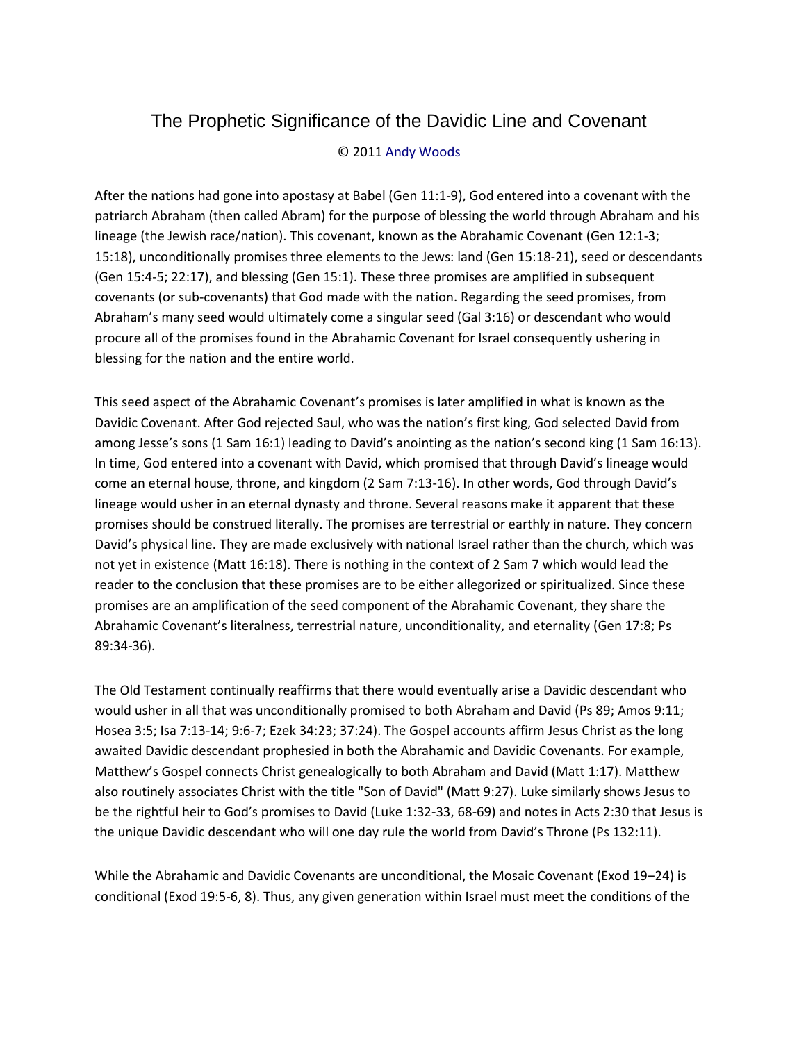## The Prophetic Significance of the Davidic Line and Covenant

## © 2011 Andy Woods

After the nations had gone into apostasy at Babel (Gen 11:1-9), God entered into a covenant with the patriarch Abraham (then called Abram) for the purpose of blessing the world through Abraham and his lineage (the Jewish race/nation). This covenant, known as the Abrahamic Covenant (Gen 12:1-3; 15:18), unconditionally promises three elements to the Jews: land (Gen 15:18-21), seed or descendants (Gen 15:4-5; 22:17), and blessing (Gen 15:1). These three promises are amplified in subsequent covenants (or sub-covenants) that God made with the nation. Regarding the seed promises, from Abraham's many seed would ultimately come a singular seed (Gal 3:16) or descendant who would procure all of the promises found in the Abrahamic Covenant for Israel consequently ushering in blessing for the nation and the entire world.

This seed aspect of the Abrahamic Covenant's promises is later amplified in what is known as the Davidic Covenant. After God rejected Saul, who was the nation's first king, God selected David from among Jesse's sons (1 Sam 16:1) leading to David's anointing as the nation's second king (1 Sam 16:13). In time, God entered into a covenant with David, which promised that through David's lineage would come an eternal house, throne, and kingdom (2 Sam 7:13-16). In other words, God through David's lineage would usher in an eternal dynasty and throne. Several reasons make it apparent that these promises should be construed literally. The promises are terrestrial or earthly in nature. They concern David's physical line. They are made exclusively with national Israel rather than the church, which was not yet in existence (Matt 16:18). There is nothing in the context of 2 Sam 7 which would lead the reader to the conclusion that these promises are to be either allegorized or spiritualized. Since these promises are an amplification of the seed component of the Abrahamic Covenant, they share the Abrahamic Covenant's literalness, terrestrial nature, unconditionality, and eternality (Gen 17:8; Ps 89:34-36).

The Old Testament continually reaffirms that there would eventually arise a Davidic descendant who would usher in all that was unconditionally promised to both Abraham and David (Ps 89; Amos 9:11; Hosea 3:5; Isa 7:13-14; 9:6-7; Ezek 34:23; 37:24). The Gospel accounts affirm Jesus Christ as the long awaited Davidic descendant prophesied in both the Abrahamic and Davidic Covenants. For example, Matthew's Gospel connects Christ genealogically to both Abraham and David (Matt 1:17). Matthew also routinely associates Christ with the title "Son of David" (Matt 9:27). Luke similarly shows Jesus to be the rightful heir to God's promises to David (Luke 1:32-33, 68-69) and notes in Acts 2:30 that Jesus is the unique Davidic descendant who will one day rule the world from David's Throne (Ps 132:11).

While the Abrahamic and Davidic Covenants are unconditional, the Mosaic Covenant (Exod 19–24) is conditional (Exod 19:5-6, 8). Thus, any given generation within Israel must meet the conditions of the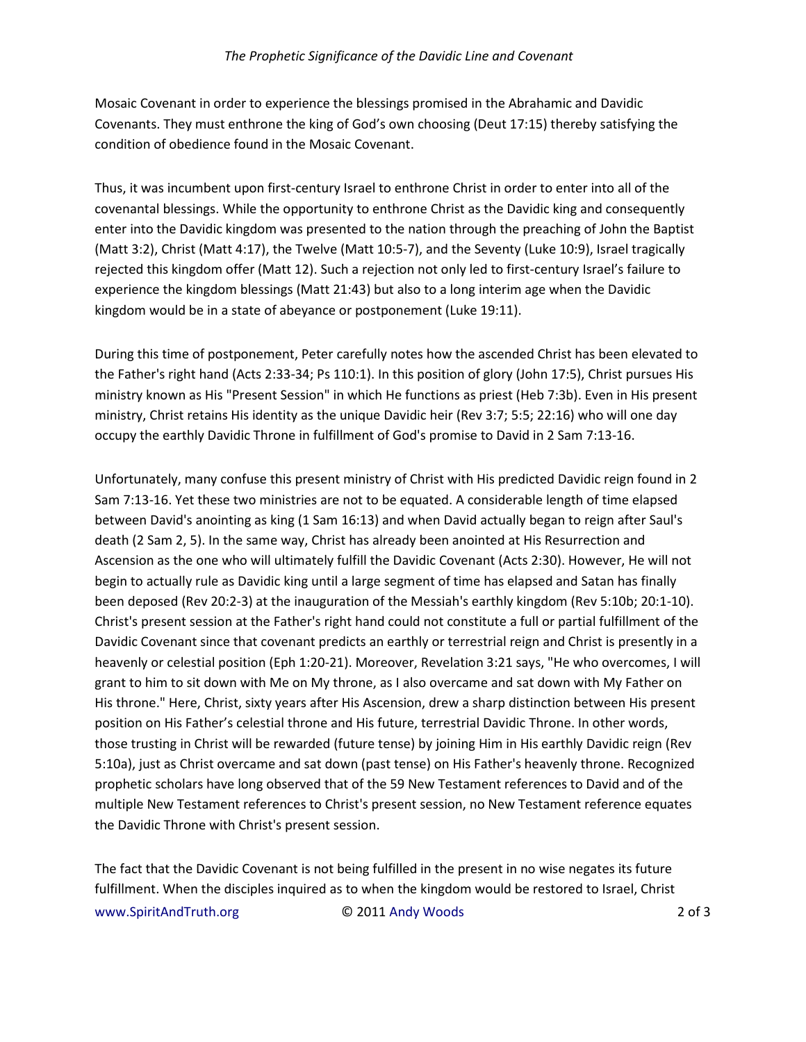Mosaic Covenant in order to experience the blessings promised in the Abrahamic and Davidic Covenants. They must enthrone the king of God's own choosing (Deut 17:15) thereby satisfying the condition of obedience found in the Mosaic Covenant.

Thus, it was incumbent upon first-century Israel to enthrone Christ in order to enter into all of the covenantal blessings. While the opportunity to enthrone Christ as the Davidic king and consequently enter into the Davidic kingdom was presented to the nation through the preaching of John the Baptist (Matt 3:2), Christ (Matt 4:17), the Twelve (Matt 10:5-7), and the Seventy (Luke 10:9), Israel tragically rejected this kingdom offer (Matt 12). Such a rejection not only led to first-century Israel's failure to experience the kingdom blessings (Matt 21:43) but also to a long interim age when the Davidic kingdom would be in a state of abeyance or postponement (Luke 19:11).

During this time of postponement, Peter carefully notes how the ascended Christ has been elevated to the Father's right hand (Acts 2:33-34; Ps 110:1). In this position of glory (John 17:5), Christ pursues His ministry known as His "Present Session" in which He functions as priest (Heb 7:3b). Even in His present ministry, Christ retains His identity as the unique Davidic heir (Rev 3:7; 5:5; 22:16) who will one day occupy the earthly Davidic Throne in fulfillment of God's promise to David in 2 Sam 7:13-16.

Unfortunately, many confuse this present ministry of Christ with His predicted Davidic reign found in 2 Sam 7:13-16. Yet these two ministries are not to be equated. A considerable length of time elapsed between David's anointing as king (1 Sam 16:13) and when David actually began to reign after Saul's death (2 Sam 2, 5). In the same way, Christ has already been anointed at His Resurrection and Ascension as the one who will ultimately fulfill the Davidic Covenant (Acts 2:30). However, He will not begin to actually rule as Davidic king until a large segment of time has elapsed and Satan has finally been deposed (Rev 20:2-3) at the inauguration of the Messiah's earthly kingdom (Rev 5:10b; 20:1-10). Christ's present session at the Father's right hand could not constitute a full or partial fulfillment of the Davidic Covenant since that covenant predicts an earthly or terrestrial reign and Christ is presently in a heavenly or celestial position (Eph 1:20-21). Moreover, Revelation 3:21 says, "He who overcomes, I will grant to him to sit down with Me on My throne, as I also overcame and sat down with My Father on His throne." Here, Christ, sixty years after His Ascension, drew a sharp distinction between His present position on His Father's celestial throne and His future, terrestrial Davidic Throne. In other words, those trusting in Christ will be rewarded (future tense) by joining Him in His earthly Davidic reign (Rev 5:10a), just as Christ overcame and sat down (past tense) on His Father's heavenly throne. Recognized prophetic scholars have long observed that of the 59 New Testament references to David and of the multiple New Testament references to Christ's present session, no New Testament reference equates the Davidic Throne with Christ's present session.

www.SpiritAndTruth.org © 2011 Andy Woods 2 of 3 The fact that the Davidic Covenant is not being fulfilled in the present in no wise negates its future fulfillment. When the disciples inquired as to when the kingdom would be restored to Israel, Christ